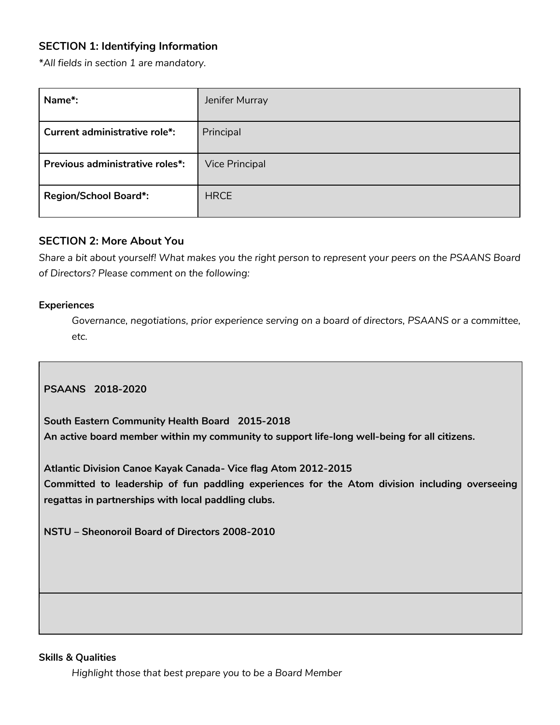# **SECTION 1: Identifying Information**

*\*All fields in section 1 are mandatory.*

| Name*:                          | Jenifer Murray        |
|---------------------------------|-----------------------|
| Current administrative role*:   | Principal             |
| Previous administrative roles*: | <b>Vice Principal</b> |
| <b>Region/School Board*:</b>    | <b>HRCE</b>           |

### **SECTION 2: More About You**

*Share a bit about yourself! What makes you the right person to represent your peers on the PSAANS Board of Directors? Please comment on the following:*

### **Experiences**

*Governance, negotiations, prior experience serving on a board of directors, PSAANS or a committee, etc.*

**PSAANS 2018-2020**

**South Eastern Community Health Board 2015-2018 An active board member within my community to support life-long well-being for all citizens.** 

**Atlantic Division Canoe Kayak Canada- Vice flag Atom 2012-2015**

**Committed to leadership of fun paddling experiences for the Atom division including overseeing regattas in partnerships with local paddling clubs.**

**NSTU – Sheonoroil Board of Directors 2008-2010**

#### **Skills & Qualities**

*Highlight those that best prepare you to be a Board Member*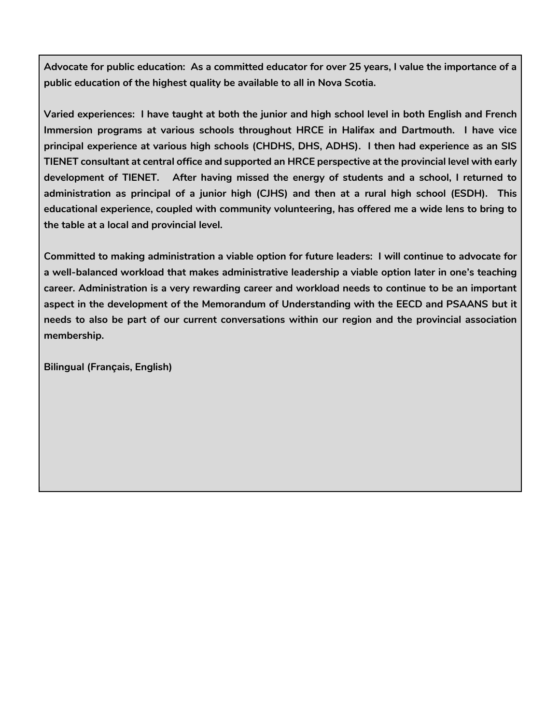**Advocate for public education: As a committed educator for over 25 years, I value the importance of a public education of the highest quality be available to all in Nova Scotia.** 

**Varied experiences: I have taught at both the junior and high school level in both English and French Immersion programs at various schools throughout HRCE in Halifax and Dartmouth. I have vice principal experience at various high schools (CHDHS, DHS, ADHS). I then had experience as an SIS TIENET consultant at central office and supported an HRCE perspective at the provincial level with early development of TIENET. After having missed the energy of students and a school, I returned to administration as principal of a junior high (CJHS) and then at a rural high school (ESDH). This educational experience, coupled with community volunteering, has offered me a wide lens to bring to the table at a local and provincial level.** 

**Committed to making administration a viable option for future leaders: I will continue to advocate for a well-balanced workload that makes administrative leadership a viable option later in one's teaching career. Administration is a very rewarding career and workload needs to continue to be an important aspect in the development of the Memorandum of Understanding with the EECD and PSAANS but it needs to also be part of our current conversations within our region and the provincial association membership.**

**Bilingual (Français, English)**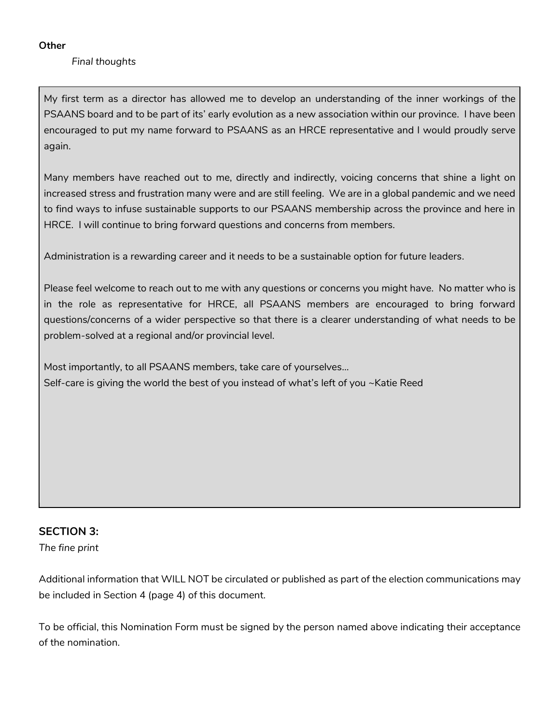**Other**

 *Final thoughts*

My first term as a director has allowed me to develop an understanding of the inner workings of the PSAANS board and to be part of its' early evolution as a new association within our province. I have been encouraged to put my name forward to PSAANS as an HRCE representative and I would proudly serve again.

Many members have reached out to me, directly and indirectly, voicing concerns that shine a light on increased stress and frustration many were and are still feeling. We are in a global pandemic and we need to find ways to infuse sustainable supports to our PSAANS membership across the province and here in HRCE. I will continue to bring forward questions and concerns from members.

Administration is a rewarding career and it needs to be a sustainable option for future leaders.

Please feel welcome to reach out to me with any questions or concerns you might have. No matter who is in the role as representative for HRCE, all PSAANS members are encouraged to bring forward questions/concerns of a wider perspective so that there is a clearer understanding of what needs to be problem-solved at a regional and/or provincial level.

Most importantly, to all PSAANS members, take care of yourselves… Self-care is giving the world the best of you instead of what's left of you ~Katie Reed

## **SECTION 3:**

*The fine print*

Additional information that WILL NOT be circulated or published as part of the election communications may be included in Section 4 (page 4) of this document.

To be official, this Nomination Form must be signed by the person named above indicating their acceptance of the nomination.